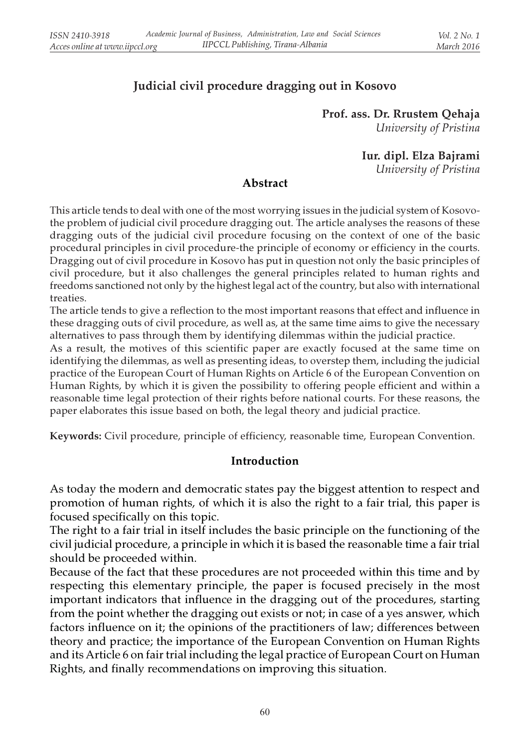# Judicial civil procedure dragging out in Kosovo

Prof. ass. Dr. Rrustem Qehaja University of Pristina

Iur. dipl. Elza Bajrami

University of Pristina

#### Abstract

This article tends to deal with one of the most worrying issues in the judicial system of Kosovothe problem of judicial civil procedure dragging out. The article analyses the reasons of these dragging outs of the judicial civil procedure focusing on the context of one of the basic procedural principles in civil procedure-the principle of economy or efficiency in the courts. Dragging out of civil procedure in Kosovo has put in question not only the basic principles of civil procedure, but it also challenges the general principles related to human rights and freedoms sanctioned not only by the highest legal act of the country, but also with international treaties.

The article tends to give a reflection to the most important reasons that effect and influence in these dragging outs of civil procedure, as well as, at the same time aims to give the necessary alternatives to pass through them by identifying dilemmas within the judicial practice.

As a result, the motives of this scientific paper are exactly focused at the same time on identifying the dilemmas, as well as presenting ideas, to overstep them, including the judicial practice of the European Court of Human Rights on Article 6 of the European Convention on Human Rights, by which it is given the possibility to offering people efficient and within a reasonable time legal protection of their rights before national courts. For these reasons, the paper elaborates this issue based on both, the legal theory and judicial practice.

Keywords: Civil procedure, principle of efficiency, reasonable time, European Convention.

#### Introduction

As today the modern and democratic states pay the biggest attention to respect and promotion of human rights, of which it is also the right to a fair trial, this paper is focused specifically on this topic.

The right to a fair trial in itself includes the basic principle on the functioning of the civil judicial procedure, a principle in which it is based the reasonable time a fair trial should be proceeded within.

Because of the fact that these procedures are not proceeded within this time and by respecting this elementary principle, the paper is focused precisely in the most important indicators that influence in the dragging out of the procedures, starting from the point whether the dragging out exists or not; in case of a yes answer, which factors influence on it; the opinions of the practitioners of law; differences between theory and practice; the importance of the European Convention on Human Rights and its Article 6 on fair trial including the legal practice of European Court on Human Rights, and finally recommendations on improving this situation.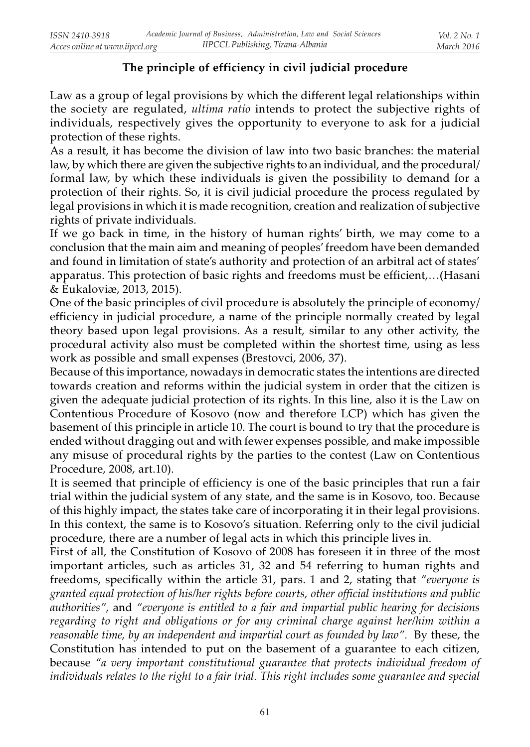## The principle of efficiency in civil judicial procedure

Law as a group of legal provisions by which the different legal relationships within the society are regulated, ultima ratio intends to protect the subjective rights of individuals, respectively gives the opportunity to everyone to ask for a judicial protection of these rights.

As a result, it has become the division of law into two basic branches: the material law, by which there are given the subjective rights to an individual, and the procedural/ formal law, by which these individuals is given the possibility to demand for a protection of their rights. So, it is civil judicial procedure the process regulated by legal provisions in which it is made recognition, creation and realization of subjective rights of private individuals.

If we go back in time, in the history of human rights' birth, we may come to a conclusion that the main aim and meaning of peoples' freedom have been demanded and found in limitation of state's authority and protection of an arbitral act of states' apparatus. This protection of basic rights and freedoms must be efficient,…(Hasani & Èukaloviæ, 2013, 2015).

One of the basic principles of civil procedure is absolutely the principle of economy/ efficiency in judicial procedure, a name of the principle normally created by legal theory based upon legal provisions. As a result, similar to any other activity, the procedural activity also must be completed within the shortest time, using as less work as possible and small expenses (Brestovci, 2006, 37).

Because of this importance, nowadays in democratic states the intentions are directed towards creation and reforms within the judicial system in order that the citizen is given the adequate judicial protection of its rights. In this line, also it is the Law on Contentious Procedure of Kosovo (now and therefore LCP) which has given the basement of this principle in article 10. The court is bound to try that the procedure is ended without dragging out and with fewer expenses possible, and make impossible any misuse of procedural rights by the parties to the contest (Law on Contentious Procedure, 2008, art.10).

It is seemed that principle of efficiency is one of the basic principles that run a fair trial within the judicial system of any state, and the same is in Kosovo, too. Because of this highly impact, the states take care of incorporating it in their legal provisions. In this context, the same is to Kosovo's situation. Referring only to the civil judicial procedure, there are a number of legal acts in which this principle lives in.

First of all, the Constitution of Kosovo of 2008 has foreseen it in three of the most important articles, such as articles 31, 32 and 54 referring to human rights and freedoms, specifically within the article 31, pars. 1 and 2, stating that "everyone is granted equal protection of his/her rights before courts, other official institutions and public authorities", and "everyone is entitled to a fair and impartial public hearing for decisions regarding to right and obligations or for any criminal charge against her/him within a reasonable time, by an independent and impartial court as founded by law". By these, the Constitution has intended to put on the basement of a guarantee to each citizen, because "a very important constitutional guarantee that protects individual freedom of individuals relates to the right to a fair trial. This right includes some guarantee and special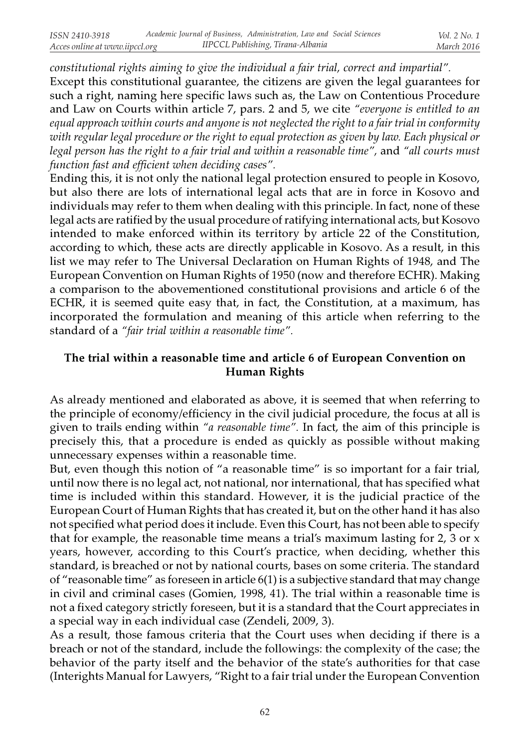constitutional rights aiming to give the individual a fair trial, correct and impartial". Except this constitutional guarantee, the citizens are given the legal guarantees for such a right, naming here specific laws such as, the Law on Contentious Procedure and Law on Courts within article 7, pars. 2 and 5, we cite "everyone is entitled to an equal approach within courts and anyone is not neglected the right to a fair trial in conformity with regular legal procedure or the right to equal protection as given by law. Each physical or legal person has the right to a fair trial and within a reasonable time", and "all courts must function fast and efficient when deciding cases".

Ending this, it is not only the national legal protection ensured to people in Kosovo, but also there are lots of international legal acts that are in force in Kosovo and individuals may refer to them when dealing with this principle. In fact, none of these legal acts are ratified by the usual procedure of ratifying international acts, but Kosovo intended to make enforced within its territory by article 22 of the Constitution, according to which, these acts are directly applicable in Kosovo. As a result, in this list we may refer to The Universal Declaration on Human Rights of 1948, and The European Convention on Human Rights of 1950 (now and therefore ECHR). Making a comparison to the abovementioned constitutional provisions and article 6 of the ECHR, it is seemed quite easy that, in fact, the Constitution, at a maximum, has incorporated the formulation and meaning of this article when referring to the standard of a "fair trial within a reasonable time".

## The trial within a reasonable time and article 6 of European Convention on Human Rights

As already mentioned and elaborated as above, it is seemed that when referring to the principle of economy/efficiency in the civil judicial procedure, the focus at all is given to trails ending within "a reasonable time". In fact, the aim of this principle is precisely this, that a procedure is ended as quickly as possible without making unnecessary expenses within a reasonable time.

But, even though this notion of "a reasonable time" is so important for a fair trial, until now there is no legal act, not national, nor international, that has specified what time is included within this standard. However, it is the judicial practice of the European Court of Human Rights that has created it, but on the other hand it has also not specified what period does it include. Even this Court, has not been able to specify that for example, the reasonable time means a trial's maximum lasting for 2, 3 or x years, however, according to this Court's practice, when deciding, whether this standard, is breached or not by national courts, bases on some criteria. The standard of "reasonable time" as foreseen in article 6(1) is a subjective standard that may change in civil and criminal cases (Gomien, 1998, 41). The trial within a reasonable time is not a fixed category strictly foreseen, but it is a standard that the Court appreciates in a special way in each individual case (Zendeli, 2009, 3).

As a result, those famous criteria that the Court uses when deciding if there is a breach or not of the standard, include the followings: the complexity of the case; the behavior of the party itself and the behavior of the state's authorities for that case (Interights Manual for Lawyers, "Right to a fair trial under the European Convention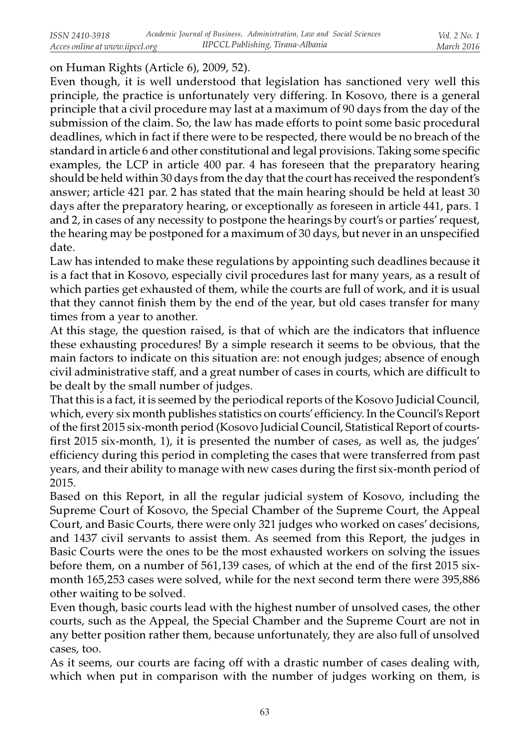## on Human Rights (Article 6), 2009, 52).

Even though, it is well understood that legislation has sanctioned very well this principle, the practice is unfortunately very differing. In Kosovo, there is a general principle that a civil procedure may last at a maximum of 90 days from the day of the submission of the claim. So, the law has made efforts to point some basic procedural deadlines, which in fact if there were to be respected, there would be no breach of the standard in article 6 and other constitutional and legal provisions. Taking some specific examples, the LCP in article 400 par. 4 has foreseen that the preparatory hearing should be held within 30 days from the day that the court has received the respondent's answer; article 421 par. 2 has stated that the main hearing should be held at least 30 days after the preparatory hearing, or exceptionally as foreseen in article 441, pars. 1 and 2, in cases of any necessity to postpone the hearings by court's or parties' request, the hearing may be postponed for a maximum of 30 days, but never in an unspecified date.

Law has intended to make these regulations by appointing such deadlines because it is a fact that in Kosovo, especially civil procedures last for many years, as a result of which parties get exhausted of them, while the courts are full of work, and it is usual that they cannot finish them by the end of the year, but old cases transfer for many times from a year to another.

At this stage, the question raised, is that of which are the indicators that influence these exhausting procedures! By a simple research it seems to be obvious, that the main factors to indicate on this situation are: not enough judges; absence of enough civil administrative staff, and a great number of cases in courts, which are difficult to be dealt by the small number of judges.

That this is a fact, it is seemed by the periodical reports of the Kosovo Judicial Council, which, every six month publishes statistics on courts' efficiency. In the Council's Report of the first 2015 six-month period (Kosovo Judicial Council, Statistical Report of courtsfirst 2015 six-month, 1), it is presented the number of cases, as well as, the judges' efficiency during this period in completing the cases that were transferred from past years, and their ability to manage with new cases during the first six-month period of 2015.

Based on this Report, in all the regular judicial system of Kosovo, including the Supreme Court of Kosovo, the Special Chamber of the Supreme Court, the Appeal Court, and Basic Courts, there were only 321 judges who worked on cases' decisions, and 1437 civil servants to assist them. As seemed from this Report, the judges in Basic Courts were the ones to be the most exhausted workers on solving the issues before them, on a number of 561,139 cases, of which at the end of the first 2015 sixmonth 165,253 cases were solved, while for the next second term there were 395,886 other waiting to be solved.

Even though, basic courts lead with the highest number of unsolved cases, the other courts, such as the Appeal, the Special Chamber and the Supreme Court are not in any better position rather them, because unfortunately, they are also full of unsolved cases, too.

As it seems, our courts are facing off with a drastic number of cases dealing with, which when put in comparison with the number of judges working on them, is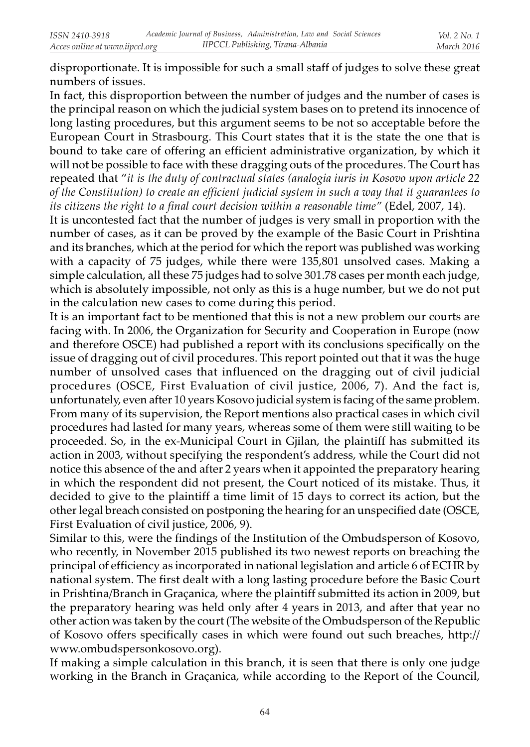disproportionate. It is impossible for such a small staff of judges to solve these great numbers of issues.

In fact, this disproportion between the number of judges and the number of cases is the principal reason on which the judicial system bases on to pretend its innocence of long lasting procedures, but this argument seems to be not so acceptable before the European Court in Strasbourg. This Court states that it is the state the one that is bound to take care of offering an efficient administrative organization, by which it will not be possible to face with these dragging outs of the procedures. The Court has repeated that "it is the duty of contractual states (analogia iuris in Kosovo upon article 22 of the Constitution) to create an efficient judicial system in such a way that it guarantees to its citizens the right to a final court decision within a reasonable time" (Edel, 2007, 14).

It is uncontested fact that the number of judges is very small in proportion with the number of cases, as it can be proved by the example of the Basic Court in Prishtina and its branches, which at the period for which the report was published was working with a capacity of 75 judges, while there were 135,801 unsolved cases. Making a simple calculation, all these 75 judges had to solve 301.78 cases per month each judge, which is absolutely impossible, not only as this is a huge number, but we do not put in the calculation new cases to come during this period.

It is an important fact to be mentioned that this is not a new problem our courts are facing with. In 2006, the Organization for Security and Cooperation in Europe (now and therefore OSCE) had published a report with its conclusions specifically on the issue of dragging out of civil procedures. This report pointed out that it was the huge number of unsolved cases that influenced on the dragging out of civil judicial procedures (OSCE, First Evaluation of civil justice, 2006, 7). And the fact is, unfortunately, even after 10 years Kosovo judicial system is facing of the same problem. From many of its supervision, the Report mentions also practical cases in which civil procedures had lasted for many years, whereas some of them were still waiting to be proceeded. So, in the ex-Municipal Court in Gjilan, the plaintiff has submitted its action in 2003, without specifying the respondent's address, while the Court did not notice this absence of the and after 2 years when it appointed the preparatory hearing in which the respondent did not present, the Court noticed of its mistake. Thus, it decided to give to the plaintiff a time limit of 15 days to correct its action, but the other legal breach consisted on postponing the hearing for an unspecified date (OSCE, First Evaluation of civil justice, 2006, 9).

Similar to this, were the findings of the Institution of the Ombudsperson of Kosovo, who recently, in November 2015 published its two newest reports on breaching the principal of efficiency as incorporated in national legislation and article 6 of ECHR by national system. The first dealt with a long lasting procedure before the Basic Court in Prishtina/Branch in Graçanica, where the plaintiff submitted its action in 2009, but the preparatory hearing was held only after 4 years in 2013, and after that year no other action was taken by the court (The website of the Ombudsperson of the Republic of Kosovo offers specifically cases in which were found out such breaches, http:// www.ombudspersonkosovo.org).

If making a simple calculation in this branch, it is seen that there is only one judge working in the Branch in Graçanica, while according to the Report of the Council,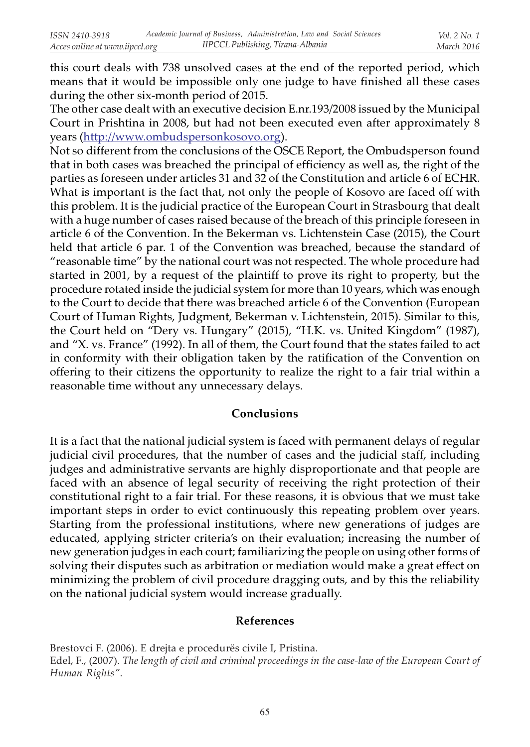this court deals with 738 unsolved cases at the end of the reported period, which means that it would be impossible only one judge to have finished all these cases during the other six-month period of 2015.

The other case dealt with an executive decision E.nr.193/2008 issued by the Municipal Court in Prishtina in 2008, but had not been executed even after approximately 8 years (http://www.ombudspersonkosovo.org).

Not so different from the conclusions of the OSCE Report, the Ombudsperson found that in both cases was breached the principal of efficiency as well as, the right of the parties as foreseen under articles 31 and 32 of the Constitution and article 6 of ECHR. What is important is the fact that, not only the people of Kosovo are faced off with this problem. It is the judicial practice of the European Court in Strasbourg that dealt with a huge number of cases raised because of the breach of this principle foreseen in article 6 of the Convention. In the Bekerman vs. Lichtenstein Case (2015), the Court held that article 6 par. 1 of the Convention was breached, because the standard of "reasonable time" by the national court was not respected. The whole procedure had started in 2001, by a request of the plaintiff to prove its right to property, but the procedure rotated inside the judicial system for more than 10 years, which was enough to the Court to decide that there was breached article 6 of the Convention (European Court of Human Rights, Judgment, Bekerman v. Lichtenstein, 2015). Similar to this, the Court held on "Dery vs. Hungary" (2015), "H.K. vs. United Kingdom" (1987), and "X. vs. France" (1992). In all of them, the Court found that the states failed to act in conformity with their obligation taken by the ratification of the Convention on offering to their citizens the opportunity to realize the right to a fair trial within a reasonable time without any unnecessary delays.

### Conclusions

It is a fact that the national judicial system is faced with permanent delays of regular judicial civil procedures, that the number of cases and the judicial staff, including judges and administrative servants are highly disproportionate and that people are faced with an absence of legal security of receiving the right protection of their constitutional right to a fair trial. For these reasons, it is obvious that we must take important steps in order to evict continuously this repeating problem over years. Starting from the professional institutions, where new generations of judges are educated, applying stricter criteria's on their evaluation; increasing the number of new generation judges in each court; familiarizing the people on using other forms of solving their disputes such as arbitration or mediation would make a great effect on minimizing the problem of civil procedure dragging outs, and by this the reliability on the national judicial system would increase gradually.

### References

Brestovci F. (2006). E drejta e procedurës civile I, Pristina. Edel, F., (2007). The length of civil and criminal proceedings in the case-law of the European Court of Human Rights".